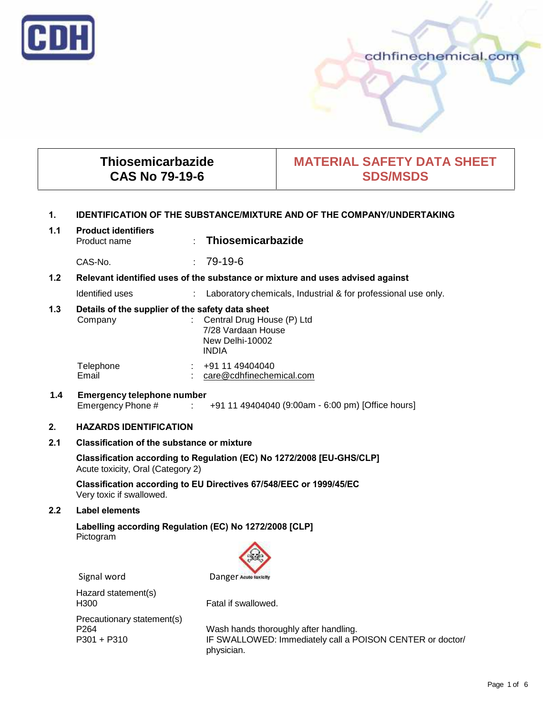

# cdhfinechemical.com

# **Thiosemicarbazide CAS No 79-19-6**

# **MATERIAL SAFETY DATA SHEET SDS/MSDS**

## **1. IDENTIFICATION OF THE SUBSTANCE/MIXTURE AND OF THE COMPANY/UNDERTAKING**

| 1.1 | <b>Product identifiers</b><br>Product name | : Thiosemicarbazide |  |
|-----|--------------------------------------------|---------------------|--|
|     |                                            |                     |  |

CAS-No. : 79-19-6

# **1.2 Relevant identified uses of the substance or mixture and uses advised against**

Identified uses : Laboratory chemicals, Industrial & for professional use only.

# **1.3 Details of the supplier of the safety data sheet**

| Company   | : Central Drug House $(P)$ Ltd<br>7/28 Vardaan House<br>New Delhi-10002<br><b>INDIA</b> |
|-----------|-----------------------------------------------------------------------------------------|
| Telephone | +91 11 49404040                                                                         |
| Email     | care@cdhfinechemical.com                                                                |

# **1.4 Emergency telephone number** Emergency Phone # : +91 11 49404040 (9:00am - 6:00 pm) [Office hours]

## **2. HAZARDS IDENTIFICATION**

# **2.1 Classification of the substance or mixture**

**Classification according to Regulation (EC) No 1272/2008 [EU-GHS/CLP]** Acute toxicity, Oral (Category 2)

**Classification according to EU Directives 67/548/EEC or 1999/45/EC** Very toxic if swallowed.

## **2.2 Label elements**

**Labelling according Regulation (EC) No 1272/2008 [CLP]** Pictogram



Hazard statement(s) H300 Fatal if swallowed. Precautionary statement(s)

P264 Wash hands thoroughly after handling.<br>P301 + P310 F SWALLOWED: Immediately call a P IF SWALLOWED: Immediately call a POISON CENTER or doctor/ physician.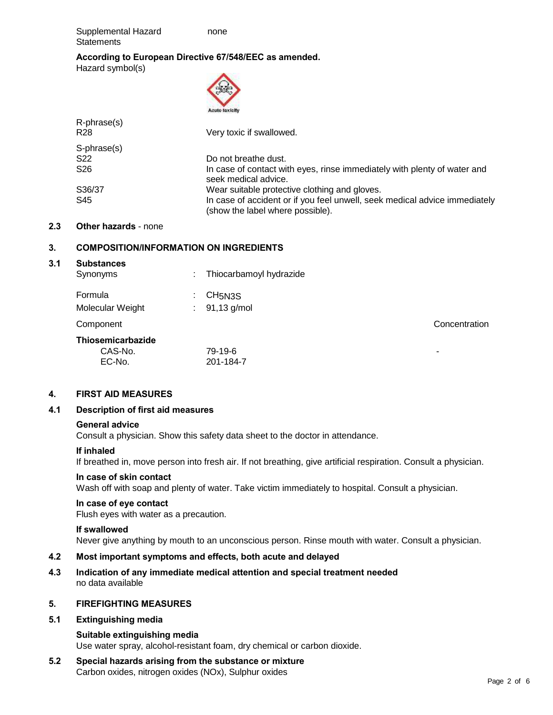Supplemental Hazard none **Statements** 

# **According to European Directive 67/548/EEC as amended.** Hazard symbol(s)

|                                | 2000<br><b>Acute toxicity</b>                                                                                  |
|--------------------------------|----------------------------------------------------------------------------------------------------------------|
| R-phrase(s)<br>R <sub>28</sub> | Very toxic if swallowed.                                                                                       |
| S-phrase(s)                    |                                                                                                                |
| S <sub>22</sub>                | Do not breathe dust.                                                                                           |
| S <sub>26</sub>                | In case of contact with eyes, rinse immediately with plenty of water and<br>seek medical advice.               |
| S36/37                         | Wear suitable protective clothing and gloves.                                                                  |
| S45                            | In case of accident or if you feel unwell, seek medical advice immediately<br>(show the label where possible). |

## **2.3 Other hazards** - none

# **3. COMPOSITION/INFORMATION ON INGREDIENTS**

EC-No. 201-184-7

## **3.1 Substances**

| Synonyms          | ٠<br>٠  | Thiocarbamoyl hydrazide |               |
|-------------------|---------|-------------------------|---------------|
| Formula           | ٠<br>٠. | CH <sub>5N3S</sub>      |               |
| Molecular Weight  | ÷       | 91,13 g/mol             |               |
| Component         |         |                         | Concentration |
| Thiosemicarbazide |         |                         |               |
| CAS-No.           |         | 79-19-6                 | -             |

## **4. FIRST AID MEASURES**

## **4.1 Description of first aid measures**

## **General advice**

Consult a physician. Show this safety data sheet to the doctor in attendance.

## **If inhaled**

If breathed in, move person into fresh air. If not breathing, give artificial respiration. Consult a physician.

## **In case of skin contact**

Wash off with soap and plenty of water. Take victim immediately to hospital. Consult a physician.

# **In case of eye contact**

Flush eyes with water as a precaution.

## **If swallowed**

Never give anything by mouth to an unconscious person. Rinse mouth with water. Consult a physician.

# **4.2 Most important symptoms and effects, both acute and delayed**

**4.3 Indication of any immediate medical attention and special treatment needed** no data available

## **5. FIREFIGHTING MEASURES**

## **5.1 Extinguishing media**

#### **Suitable extinguishing media**

Use water spray, alcohol-resistant foam, dry chemical or carbon dioxide.

**5.2 Special hazards arising from the substance or mixture** Carbon oxides, nitrogen oxides (NOx), Sulphur oxides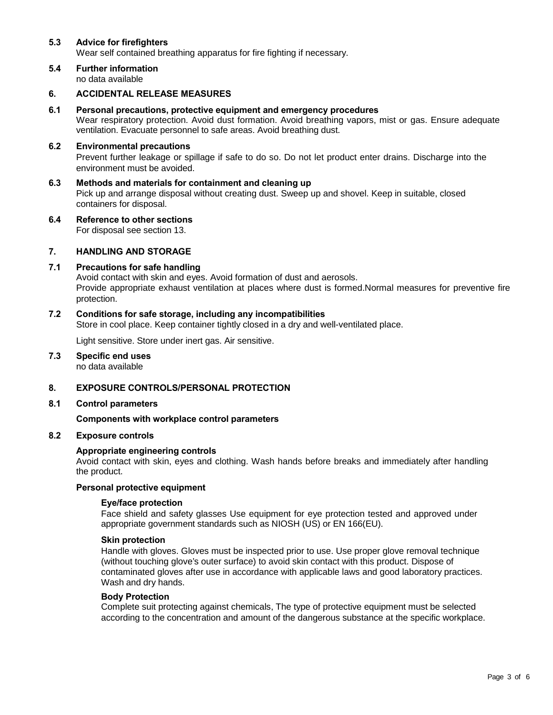## **5.3 Advice for firefighters**

Wear self contained breathing apparatus for fire fighting if necessary.

**5.4 Further information** no data available

## **6. ACCIDENTAL RELEASE MEASURES**

### **6.1 Personal precautions, protective equipment and emergency procedures**

Wear respiratory protection. Avoid dust formation. Avoid breathing vapors, mist or gas. Ensure adequate ventilation. Evacuate personnel to safe areas. Avoid breathing dust.

### **6.2 Environmental precautions**

Prevent further leakage or spillage if safe to do so. Do not let product enter drains. Discharge into the environment must be avoided.

- **6.3 Methods and materials for containment and cleaning up** Pick up and arrange disposal without creating dust. Sweep up and shovel. Keep in suitable, closed containers for disposal.
- **6.4 Reference to other sections** For disposal see section 13.

## **7. HANDLING AND STORAGE**

#### **7.1 Precautions for safe handling**

Avoid contact with skin and eyes. Avoid formation of dust and aerosols. Provide appropriate exhaust ventilation at places where dust is formed.Normal measures for preventive fire protection.

#### **7.2 Conditions for safe storage, including any incompatibilities**

Store in cool place. Keep container tightly closed in a dry and well-ventilated place.

Light sensitive. Store under inert gas. Air sensitive.

**7.3 Specific end uses** no data available

# **8. EXPOSURE CONTROLS/PERSONAL PROTECTION**

#### **8.1 Control parameters**

#### **Components with workplace control parameters**

#### **8.2 Exposure controls**

#### **Appropriate engineering controls**

Avoid contact with skin, eyes and clothing. Wash hands before breaks and immediately after handling the product.

### **Personal protective equipment**

#### **Eye/face protection**

Face shield and safety glasses Use equipment for eye protection tested and approved under appropriate government standards such as NIOSH (US) or EN 166(EU).

#### **Skin protection**

Handle with gloves. Gloves must be inspected prior to use. Use proper glove removal technique (without touching glove's outer surface) to avoid skin contact with this product. Dispose of contaminated gloves after use in accordance with applicable laws and good laboratory practices. Wash and dry hands.

#### **Body Protection**

Complete suit protecting against chemicals, The type of protective equipment must be selected according to the concentration and amount of the dangerous substance at the specific workplace.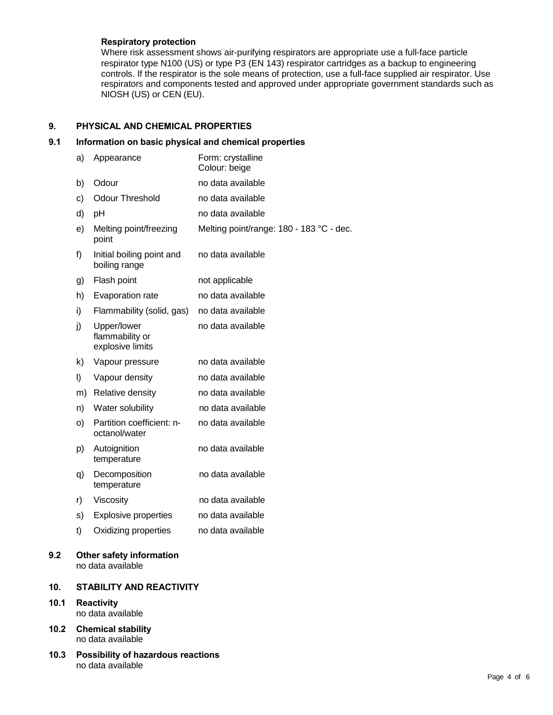# **Respiratory protection**

Where risk assessment shows air-purifying respirators are appropriate use a full-face particle respirator type N100 (US) or type P3 (EN 143) respirator cartridges as a backup to engineering controls. If the respirator is the sole means of protection, use a full-face supplied air respirator. Use respirators and components tested and approved under appropriate government standards such as NIOSH (US) or CEN (EU).

# **9. PHYSICAL AND CHEMICAL PROPERTIES**

# **9.1 Information on basic physical and chemical properties**

|      | a)                                     | Appearance                                           | Form: crystalline<br>Colour: beige       |  |
|------|----------------------------------------|------------------------------------------------------|------------------------------------------|--|
|      | b)                                     | Odour                                                | no data available                        |  |
|      | c)                                     | <b>Odour Threshold</b>                               | no data available                        |  |
|      | d)                                     | pH                                                   | no data available                        |  |
|      | e)                                     | Melting point/freezing<br>point                      | Melting point/range: 180 - 183 °C - dec. |  |
|      | f)                                     | Initial boiling point and<br>boiling range           | no data available                        |  |
|      | g)                                     | Flash point                                          | not applicable                           |  |
|      | h)                                     | Evaporation rate                                     | no data available                        |  |
|      | i)                                     | Flammability (solid, gas)                            | no data available                        |  |
|      | j)                                     | Upper/lower<br>flammability or<br>explosive limits   | no data available                        |  |
|      | k)                                     | Vapour pressure                                      | no data available                        |  |
|      | I)                                     | Vapour density                                       | no data available                        |  |
|      | m)                                     | Relative density                                     | no data available                        |  |
|      | n)                                     | Water solubility                                     | no data available                        |  |
|      | O)                                     | Partition coefficient: n-<br>octanol/water           | no data available                        |  |
|      | p)                                     | Autoignition<br>temperature                          | no data available                        |  |
|      | q)                                     | Decomposition<br>temperature                         | no data available                        |  |
|      | r)                                     | Viscosity                                            | no data available                        |  |
|      | s)                                     | <b>Explosive properties</b>                          | no data available                        |  |
|      | t)                                     | Oxidizing properties                                 | no data available                        |  |
| 9.2  |                                        | <b>Other safety information</b><br>no data available |                                          |  |
| 10.  |                                        | <b>STABILITY AND REACTIVITY</b>                      |                                          |  |
| 10.1 | <b>Reactivity</b><br>no data available |                                                      |                                          |  |

**10.2 Chemical stability** no data available

**10.1 Reactivity**

**10.3 Possibility of hazardous reactions** no data available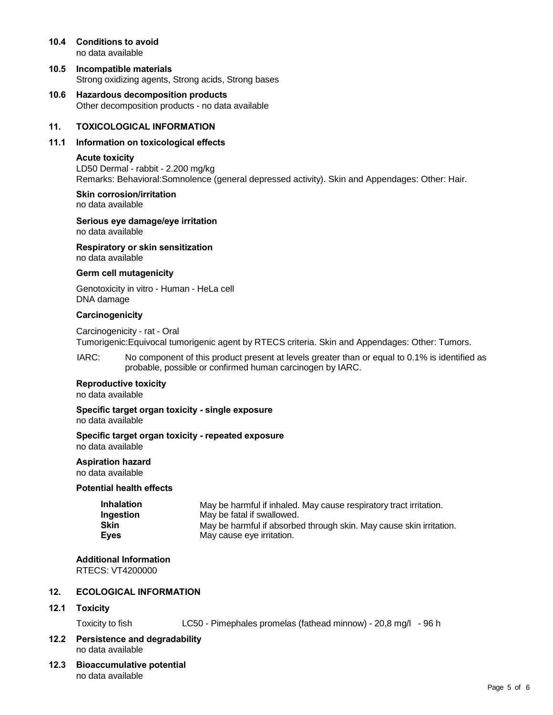- **10.4 Conditions to avoid** no data available
- **10.5 Incompatible materials** Strong oxidizing agents, Strong acids, Strong bases
- **10.6 Hazardous decomposition products** Other decomposition products - no data available

## **11. TOXICOLOGICAL INFORMATION**

### **11.1 Information on toxicological effects**

#### **Acute toxicity**

LD50 Dermal - rabbit - 2.200 mg/kg Remarks: Behavioral:Somnolence (general depressed activity). Skin and Appendages: Other: Hair.

#### **Skin corrosion/irritation** no data available

**Serious eye damage/eye irritation**

no data available

**Respiratory or skin sensitization** no data available

### **Germ cell mutagenicity**

Genotoxicity in vitro - Human - HeLa cell DNA damage

### **Carcinogenicity**

Carcinogenicity - rat - Oral Tumorigenic:Equivocal tumorigenic agent by RTECS criteria. Skin and Appendages: Other: Tumors.

IARC: No component of this product present at levels greater than or equal to 0.1% is identified as probable, possible or confirmed human carcinogen by IARC.

## **Reproductive toxicity**

no data available

**Specific target organ toxicity - single exposure**

no data available

#### **Specific target organ toxicity - repeated exposure** no data available

**Aspiration hazard** no data available

## **Potential health effects**

| Inhalation  | May be harmful if inhaled. May cause respiratory tract irritation.  |
|-------------|---------------------------------------------------------------------|
| Ingestion   | May be fatal if swallowed.                                          |
| Skin        | May be harmful if absorbed through skin. May cause skin irritation. |
| <b>Eyes</b> | May cause eye irritation.                                           |

# **Additional Information**

RTECS: VT4200000

# **12. ECOLOGICAL INFORMATION**

## **12.1 Toxicity**

Toxicity to fish LC50 - Pimephales promelas (fathead minnow) - 20,8 mg/l - 96 h

## **12.2 Persistence and degradability** no data available

**12.3 Bioaccumulative potential** no data available